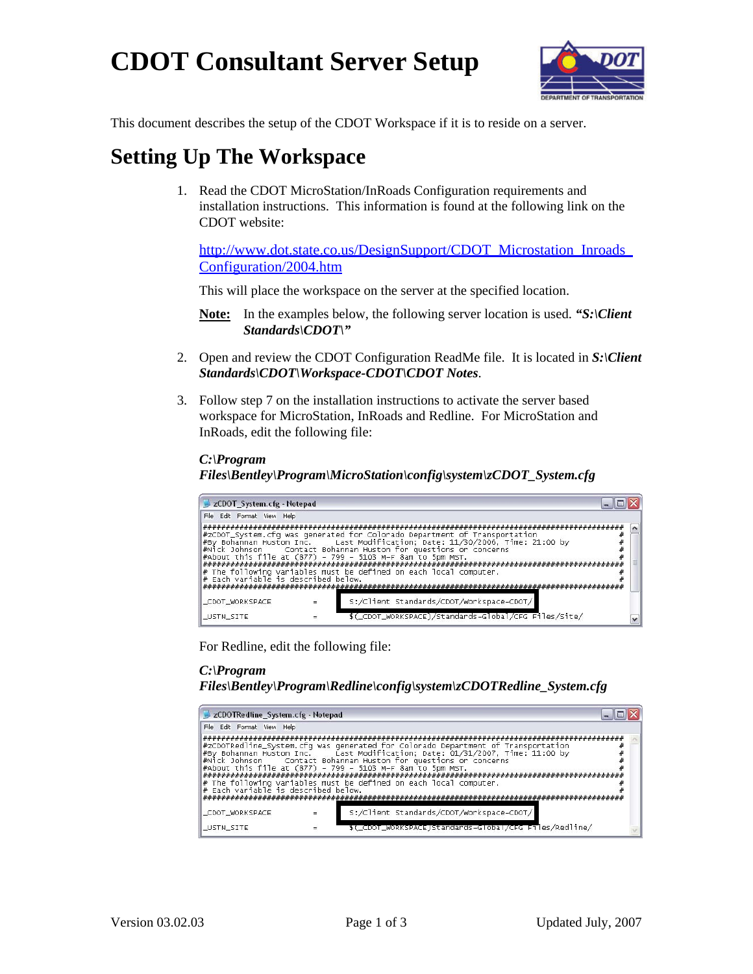# **CDOT Consultant Server Setup**



This document describes the setup of the CDOT Workspace if it is to reside on a server.

# **Setting Up The Workspace**

1. Read the CDOT MicroStation/InRoads Configuration requirements and installation instructions. This information is found at the following link on the CDOT website:

http://www.dot.state.co.us/DesignSupport/CDOT\_Microstation\_Inroads [Configuration/2004.htm](http://www.dot.state.co.us/DesignSupport/CDOT_Microstation_Inroads_Configuration/2004.htm)

This will place the workspace on the server at the specified location.

- **Note:** In the examples below, the following server location is used. *"S:\Client Standards\CDOT\"*
- 2. Open and review the CDOT Configuration ReadMe file. It is located in *S:\Client Standards\CDOT\Workspace-CDOT\CDOT Notes*.
- 3. Follow step 7 on the installation instructions to activate the server based workspace for MicroStation, InRoads and Redline. For MicroStation and InRoads, edit the following file:

#### *C:\Program*

#### *Files\Bentley\Program\MicroStation\config\system\zCDOT\_System.cfg*

| zCDOT_System.cfg - Notepad          |                                                                                                                                                                                                                                                                                                                                                                   |  |
|-------------------------------------|-------------------------------------------------------------------------------------------------------------------------------------------------------------------------------------------------------------------------------------------------------------------------------------------------------------------------------------------------------------------|--|
| File Edit Format View Help          |                                                                                                                                                                                                                                                                                                                                                                   |  |
| # Each variable is described below. | #zCDOT_System.cfq was generated for Colorado Department of Transportation<br>#By Bohannan Huston Inc. Last Modification: Date: 11/30/2006. Time: 21:00 by<br>#Nick Johnson Contact Bohannan Huston for questions or concerns<br>#About this file at (877) - 799 - 5103 M-F 8am to 5pm MST.<br>$*$ The following variables must be defined on each local computer. |  |
| _CDOT_WORKSPACE                     | S:/Client Standards/CDOT/Workspace-CDOT/                                                                                                                                                                                                                                                                                                                          |  |
| USTN_SITE                           | \$(_CDOT_WORKSPACE)/Standards-Global/CFG Files/Site/                                                                                                                                                                                                                                                                                                              |  |

For Redline, edit the following file:

### *C:\Program*

*Files\Bentley\Program\Redline\config\system\zCDOTRedline\_System.cfg* 

| zCDOTRedline_System.cfg - Notepad |                                                                                                                                                                                                                                                                                                                                                                                                                                         |  |
|-----------------------------------|-----------------------------------------------------------------------------------------------------------------------------------------------------------------------------------------------------------------------------------------------------------------------------------------------------------------------------------------------------------------------------------------------------------------------------------------|--|
| File Edit Format View Help        |                                                                                                                                                                                                                                                                                                                                                                                                                                         |  |
|                                   | #zCDOTRedline_System.cfg was generated for Colorado Department of Transportation<br>#By Bohannan Huston Inc.     Last Modification; Date: 01/31/2007, Time: 11:00 by<br>#Nick Johnson Contact Bohannan Huston for questions or concerns<br>#About this file at (877) - 799 - 5103 M-F 8am to 5pm MST.<br>$\ \text{*}$ The following variables must be defined on each local computer.<br>$\ \text{*}$ Each variable is described below. |  |
| _CDOT_WORKSPACE                   | S:/Client Standards/CDOT/Workspace-CDOT/                                                                                                                                                                                                                                                                                                                                                                                                |  |
| _USTN_SITE                        | \$(_CDOT_WORKSPACE)Standards-Global/CFG Files/Redline/                                                                                                                                                                                                                                                                                                                                                                                  |  |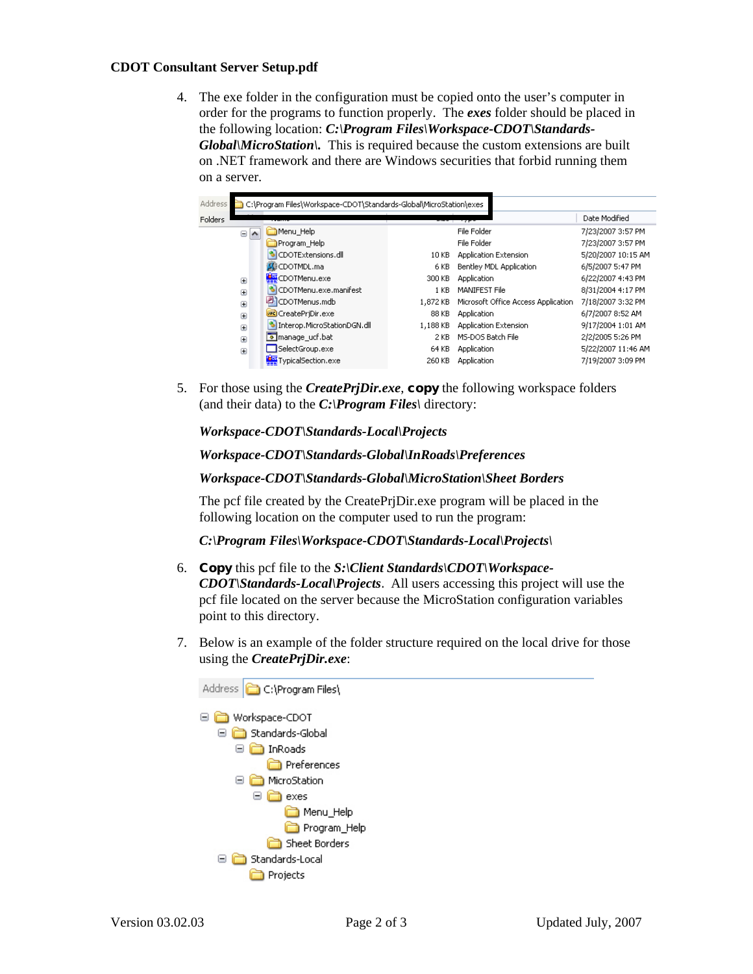#### **CDOT Consultant Server Setup.pdf**

4. The exe folder in the configuration must be copied onto the user's computer in order for the programs to function properly. The *exes* folder should be placed in the following location: *C:\Program Files\Workspace-CDOT\Standards-Global\MicroStation\.* This is required because the custom extensions are built on .NET framework and there are Windows securities that forbid running them on a server.

| Address | C:\Program Files\Workspace-CDOT\Standards-Global\MicroStation\exes |                               |          |                                     |                    |  |  |  |
|---------|--------------------------------------------------------------------|-------------------------------|----------|-------------------------------------|--------------------|--|--|--|
| Folders |                                                                    |                               |          | 75                                  | Date Modified      |  |  |  |
|         | Θ<br>$\triangleright$                                              | Menu Help                     |          | File Folder                         | 7/23/2007 3:57 PM  |  |  |  |
|         |                                                                    | Program Help                  |          | File Folder                         | 7/23/2007 3:57 PM  |  |  |  |
|         |                                                                    | CDOTExtensions.dll            | 10 KB    | Application Extension               | 5/20/2007 10:15 AM |  |  |  |
|         |                                                                    | <b>SC</b> CDOTMDL.ma          | 6 KB     | Bentley MDL Application             | 6/5/2007 5:47 PM   |  |  |  |
|         | $\boxed{\pm}$                                                      | CDOTMenu.exe                  | 300 KB   | Application                         | 6/22/2007 4:43 PM  |  |  |  |
|         | $\begin{array}{c} \square \end{array}$                             | CDOTMenu.exe.manifest         | 1 KB     | MANIFEST File                       | 8/31/2004 4:17 PM  |  |  |  |
|         | $\boxed{\pm}$                                                      | 2 <sup>1</sup> CDOTMenus.mdb  | 1,872 KB | Microsoft Office Access Application | 7/18/2007 3:32 PM  |  |  |  |
|         | $\overline{+}$                                                     | <b>DE</b> CreatePriDir.exe    | 88 KB    | Application                         | 6/7/2007 8:52 AM   |  |  |  |
|         | $\mathbf{F}$                                                       | * Interop.MicroStationDGN.dll | 1,188 KB | Application Extension               | 9/17/2004 1:01 AM  |  |  |  |
|         | $\overline{+}$                                                     | manage ucf.bat                | 2 KB     | MS-DOS Batch File                   | 2/2/2005 5:26 PM   |  |  |  |
|         | $\mathbf{H}$                                                       | SelectGroup.exe               | 64 KB    | Application                         | 5/22/2007 11:46 AM |  |  |  |
|         |                                                                    | TypicalSection.exe            | 260 KB   | Application                         | 7/19/2007 3:09 PM  |  |  |  |
|         |                                                                    |                               |          |                                     |                    |  |  |  |

5. For those using the *CreatePrjDir.exe*, **copy** the following workspace folders (and their data) to the *C:\Program Files\* directory:

*Workspace-CDOT\Standards-Local\Projects*

*Workspace-CDOT\Standards-Global\InRoads\Preferences* 

#### *Workspace-CDOT\Standards-Global\MicroStation\Sheet Borders*

The pcf file created by the CreatePrjDir.exe program will be placed in the following location on the computer used to run the program:

*C:\Program Files\Workspace-CDOT\Standards-Local\Projects\* 

- 6. **Copy** this pcf file to the *S:\Client Standards\CDOT\Workspace-CDOT\Standards-Local\Projects*. All users accessing this project will use the pcf file located on the server because the MicroStation configuration variables point to this directory.
- 7. Below is an example of the folder structure required on the local drive for those using the *CreatePrjDir.exe*: